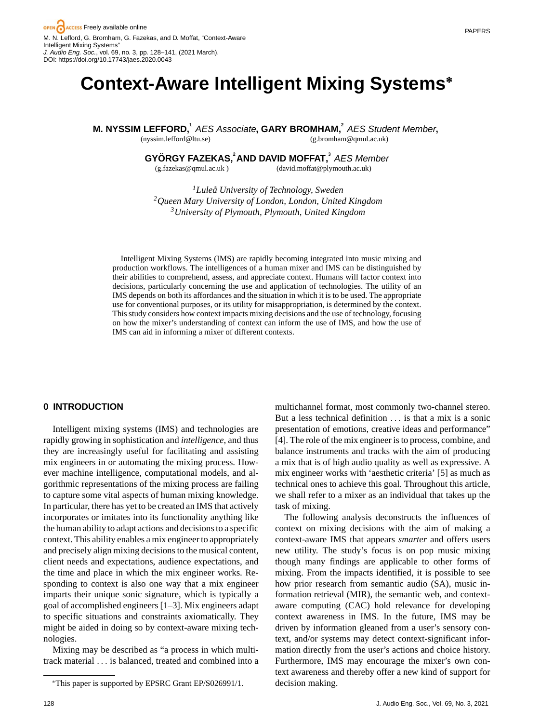# **Context-Aware Intelligent Mixing Systems<sup>∗</sup>**

**M. NYSSIM LEFFORD,**<sup>1</sup> AES Associate, GARY BROMHAM,<sup>2</sup> AES Student Member,

(nyssim.lefford@ltu.se)

(g.bromham@qmul.ac.uk)

**GYORGY FAZEKAS, ¨ <sup>2</sup> AND DAVID MOFFAT,<sup>3</sup>** *AES Member*

(g.fazekas@qmul.ac.uk )

(david.moffat@plymouth.ac.uk)

*1Lulea University of Technology, Sweden ˚ 2Queen Mary University of London, London, United Kingdom 3University of Plymouth, Plymouth, United Kingdom*

Intelligent Mixing Systems (IMS) are rapidly becoming integrated into music mixing and production workflows. The intelligences of a human mixer and IMS can be distinguished by their abilities to comprehend, assess, and appreciate context. Humans will factor context into decisions, particularly concerning the use and application of technologies. The utility of an IMS depends on both its affordances and the situation in which it is to be used. The appropriate use for conventional purposes, or its utility for misappropriation, is determined by the context. This study considers how context impacts mixing decisions and the use of technology, focusing on how the mixer's understanding of context can inform the use of IMS, and how the use of IMS can aid in informing a mixer of different contexts.

# **0 INTRODUCTION**

Intelligent mixing systems (IMS) and technologies are rapidly growing in sophistication and *intelligence*, and thus they are increasingly useful for facilitating and assisting mix engineers in or automating the mixing process. However machine intelligence, computational models, and algorithmic representations of the mixing process are failing to capture some vital aspects of human mixing knowledge. In particular, there has yet to be created an IMS that actively incorporates or imitates into its functionality anything like the human ability to adapt actions and decisions to a specific context. This ability enables a mix engineer to appropriately and precisely align mixing decisions to the musical content, client needs and expectations, audience expectations, and the time and place in which the mix engineer works. Responding to context is also one way that a mix engineer imparts their unique sonic signature, which is typically a goal of accomplished engineers [1–3]. Mix engineers adapt to specific situations and constraints axiomatically. They might be aided in doing so by context-aware mixing technologies.

Mixing may be described as "a process in which multitrack material ... is balanced, treated and combined into a

multichannel format, most commonly two-channel stereo. But a less technical definition ... is that a mix is a sonic presentation of emotions, creative ideas and performance" [4]. The role of the mix engineer is to process, combine, and balance instruments and tracks with the aim of producing a mix that is of high audio quality as well as expressive. A mix engineer works with 'aesthetic criteria' [5] as much as technical ones to achieve this goal. Throughout this article, we shall refer to a mixer as an individual that takes up the task of mixing.

The following analysis deconstructs the influences of context on mixing decisions with the aim of making a context-aware IMS that appears *smarter* and offers users new utility. The study's focus is on pop music mixing though many findings are applicable to other forms of mixing. From the impacts identified, it is possible to see how prior research from semantic audio (SA), music information retrieval (MIR), the semantic web, and contextaware computing (CAC) hold relevance for developing context awareness in IMS. In the future, IMS may be driven by information gleaned from a user's sensory context, and/or systems may detect context-significant information directly from the user's actions and choice history. Furthermore, IMS may encourage the mixer's own context awareness and thereby offer a new kind of support for decision making.

<sup>∗</sup>This paper is supported by EPSRC Grant EP/S026991/1.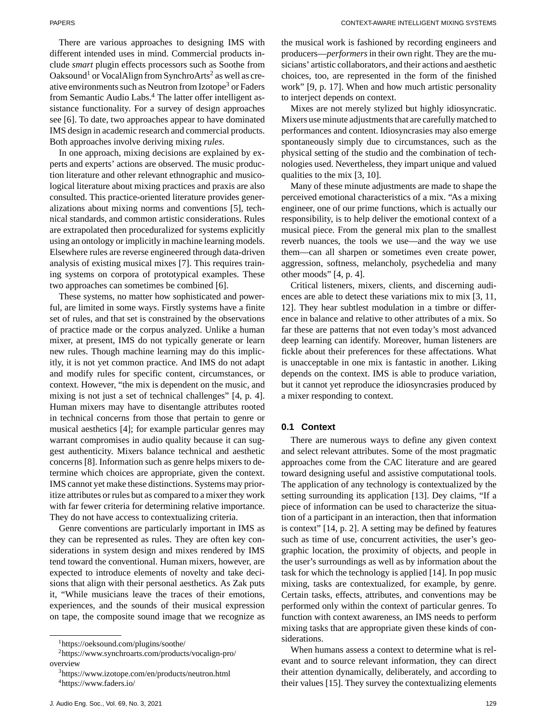PAPERS CONTEXT-AWARE INTELLIGENT MIXING SYSTEMS

There are various approaches to designing IMS with different intended uses in mind. Commercial products include *smart* plugin effects processors such as Soothe from Oaksound<sup>1</sup> or VocalAlign from SynchroArts<sup>2</sup> as well as creative environments such as Neutron from Izotope<sup>3</sup> or Faders from Semantic Audio Labs.<sup>4</sup> The latter offer intelligent assistance functionality. For a survey of design approaches see [6]. To date, two approaches appear to have dominated IMS design in academic research and commercial products. Both approaches involve deriving mixing *rules*.

In one approach, mixing decisions are explained by experts and experts' actions are observed. The music production literature and other relevant ethnographic and musicological literature about mixing practices and praxis are also consulted. This practice-oriented literature provides generalizations about mixing norms and conventions [5], technical standards, and common artistic considerations. Rules are extrapolated then proceduralized for systems explicitly using an ontology or implicitly in machine learning models. Elsewhere rules are reverse engineered through data-driven analysis of existing musical mixes [7]. This requires training systems on corpora of prototypical examples. These two approaches can sometimes be combined [6].

These systems, no matter how sophisticated and powerful, are limited in some ways. Firstly systems have a finite set of rules, and that set is constrained by the observations of practice made or the corpus analyzed. Unlike a human mixer, at present, IMS do not typically generate or learn new rules. Though machine learning may do this implicitly, it is not yet common practice. And IMS do not adapt and modify rules for specific content, circumstances, or context. However, "the mix is dependent on the music, and mixing is not just a set of technical challenges" [4, p. 4]. Human mixers may have to disentangle attributes rooted in technical concerns from those that pertain to genre or musical aesthetics [4]; for example particular genres may warrant compromises in audio quality because it can suggest authenticity. Mixers balance technical and aesthetic concerns [8]. Information such as genre helps mixers to determine which choices are appropriate, given the context. IMS cannot yet make these distinctions. Systems may prioritize attributes or rules but as compared to a mixer they work with far fewer criteria for determining relative importance. They do not have access to contextualizing criteria.

Genre conventions are particularly important in IMS as they can be represented as rules. They are often key considerations in system design and mixes rendered by IMS tend toward the conventional. Human mixers, however, are expected to introduce elements of novelty and take decisions that align with their personal aesthetics. As Zak puts it, "While musicians leave the traces of their emotions, experiences, and the sounds of their musical expression on tape, the composite sound image that we recognize as

the musical work is fashioned by recording engineers and producers—*performers*in their own right. They are the musicians' artistic collaborators, and their actions and aesthetic choices, too, are represented in the form of the finished work" [9, p. 17]. When and how much artistic personality to interject depends on context.

Mixes are not merely stylized but highly idiosyncratic. Mixers use minute adjustments that are carefully matched to performances and content. Idiosyncrasies may also emerge spontaneously simply due to circumstances, such as the physical setting of the studio and the combination of technologies used. Nevertheless, they impart unique and valued qualities to the mix [3, 10].

Many of these minute adjustments are made to shape the perceived emotional characteristics of a mix. "As a mixing engineer, one of our prime functions, which is actually our responsibility, is to help deliver the emotional context of a musical piece. From the general mix plan to the smallest reverb nuances, the tools we use—and the way we use them—can all sharpen or sometimes even create power, aggression, softness, melancholy, psychedelia and many other moods" [4, p. 4].

Critical listeners, mixers, clients, and discerning audiences are able to detect these variations mix to mix [3, 11, 12]. They hear subtlest modulation in a timbre or difference in balance and relative to other attributes of a mix. So far these are patterns that not even today's most advanced deep learning can identify. Moreover, human listeners are fickle about their preferences for these affectations. What is unacceptable in one mix is fantastic in another. Liking depends on the context. IMS is able to produce variation, but it cannot yet reproduce the idiosyncrasies produced by a mixer responding to context.

### **0.1 Context**

There are numerous ways to define any given context and select relevant attributes. Some of the most pragmatic approaches come from the CAC literature and are geared toward designing useful and assistive computational tools. The application of any technology is contextualized by the setting surrounding its application [13]. Dey claims, "If a piece of information can be used to characterize the situation of a participant in an interaction, then that information is context" [14, p. 2]. A setting may be defined by features such as time of use, concurrent activities, the user's geographic location, the proximity of objects, and people in the user's surroundings as well as by information about the task for which the technology is applied [14]. In pop music mixing, tasks are contextualized, for example, by genre. Certain tasks, effects, attributes, and conventions may be performed only within the context of particular genres. To function with context awareness, an IMS needs to perform mixing tasks that are appropriate given these kinds of considerations.

When humans assess a context to determine what is relevant and to source relevant information, they can direct their attention dynamically, deliberately, and according to their values [15]. They survey the contextualizing elements

[<sup>1</sup>https://oeksound.com/plugins/soothe/](https://oeksound.com/plugins/soothe/)

[<sup>2</sup>https://www.synchroarts.com/products/vocalign-pro/](https://www.synchroarts.com/products/vocalign-pro/overview) [overview](https://www.synchroarts.com/products/vocalign-pro/overview)

[<sup>3</sup>https://www.izotope.com/en/products/neutron.html](https://www.izotope.com/en/products/neutron.html) [4https://www.faders.io/](https://www.faders.io/)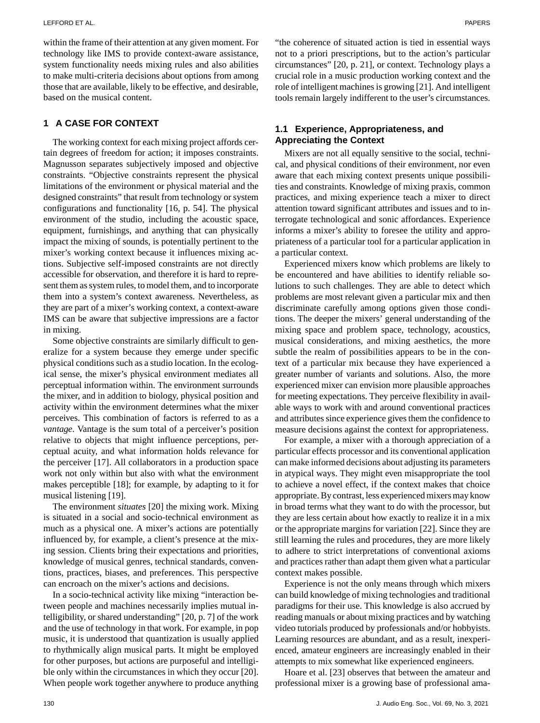within the frame of their attention at any given moment. For technology like IMS to provide context-aware assistance, system functionality needs mixing rules and also abilities to make multi-criteria decisions about options from among those that are available, likely to be effective, and desirable, based on the musical content.

# **1 A CASE FOR CONTEXT**

The working context for each mixing project affords certain degrees of freedom for action; it imposes constraints. Magnusson separates subjectively imposed and objective constraints. "Objective constraints represent the physical limitations of the environment or physical material and the designed constraints" that result from technology or system configurations and functionality [16, p. 54]. The physical environment of the studio, including the acoustic space, equipment, furnishings, and anything that can physically impact the mixing of sounds, is potentially pertinent to the mixer's working context because it influences mixing actions. Subjective self-imposed constraints are not directly accessible for observation, and therefore it is hard to represent them as system rules, to model them, and to incorporate them into a system's context awareness. Nevertheless, as they are part of a mixer's working context, a context-aware IMS can be aware that subjective impressions are a factor in mixing.

Some objective constraints are similarly difficult to generalize for a system because they emerge under specific physical conditions such as a studio location. In the ecological sense, the mixer's physical environment mediates all perceptual information within. The environment surrounds the mixer, and in addition to biology, physical position and activity within the environment determines what the mixer perceives. This combination of factors is referred to as a *vantage*. Vantage is the sum total of a perceiver's position relative to objects that might influence perceptions, perceptual acuity, and what information holds relevance for the perceiver [17]. All collaborators in a production space work not only within but also with what the environment makes perceptible [18]; for example, by adapting to it for musical listening [19].

The environment *situates* [20] the mixing work. Mixing is situated in a social and socio-technical environment as much as a physical one. A mixer's actions are potentially influenced by, for example, a client's presence at the mixing session. Clients bring their expectations and priorities, knowledge of musical genres, technical standards, conventions, practices, biases, and preferences. This perspective can encroach on the mixer's actions and decisions.

In a socio-technical activity like mixing "interaction between people and machines necessarily implies mutual intelligibility, or shared understanding" [20, p. 7] of the work and the use of technology in that work. For example, in pop music, it is understood that quantization is usually applied to rhythmically align musical parts. It might be employed for other purposes, but actions are purposeful and intelligible only within the circumstances in which they occur [20]. When people work together anywhere to produce anything

"the coherence of situated action is tied in essential ways not to a priori prescriptions, but to the action's particular circumstances" [20, p. 21], or context. Technology plays a crucial role in a music production working context and the role of intelligent machines is growing [21]. And intelligent tools remain largely indifferent to the user's circumstances.

# **1.1 Experience, Appropriateness, and Appreciating the Context**

Mixers are not all equally sensitive to the social, technical, and physical conditions of their environment, nor even aware that each mixing context presents unique possibilities and constraints. Knowledge of mixing praxis, common practices, and mixing experience teach a mixer to direct attention toward significant attributes and issues and to interrogate technological and sonic affordances. Experience informs a mixer's ability to foresee the utility and appropriateness of a particular tool for a particular application in a particular context.

Experienced mixers know which problems are likely to be encountered and have abilities to identify reliable solutions to such challenges. They are able to detect which problems are most relevant given a particular mix and then discriminate carefully among options given those conditions. The deeper the mixers' general understanding of the mixing space and problem space, technology, acoustics, musical considerations, and mixing aesthetics, the more subtle the realm of possibilities appears to be in the context of a particular mix because they have experienced a greater number of variants and solutions. Also, the more experienced mixer can envision more plausible approaches for meeting expectations. They perceive flexibility in available ways to work with and around conventional practices and attributes since experience gives them the confidence to measure decisions against the context for appropriateness.

For example, a mixer with a thorough appreciation of a particular effects processor and its conventional application can make informed decisions about adjusting its parameters in atypical ways. They might even misappropriate the tool to achieve a novel effect, if the context makes that choice appropriate. By contrast, less experienced mixers may know in broad terms what they want to do with the processor, but they are less certain about how exactly to realize it in a mix or the appropriate margins for variation [22]. Since they are still learning the rules and procedures, they are more likely to adhere to strict interpretations of conventional axioms and practices rather than adapt them given what a particular context makes possible.

Experience is not the only means through which mixers can build knowledge of mixing technologies and traditional paradigms for their use. This knowledge is also accrued by reading manuals or about mixing practices and by watching video tutorials produced by professionals and/or hobbyists. Learning resources are abundant, and as a result, inexperienced, amateur engineers are increasingly enabled in their attempts to mix somewhat like experienced engineers.

Hoare et al. [23] observes that between the amateur and professional mixer is a growing base of professional ama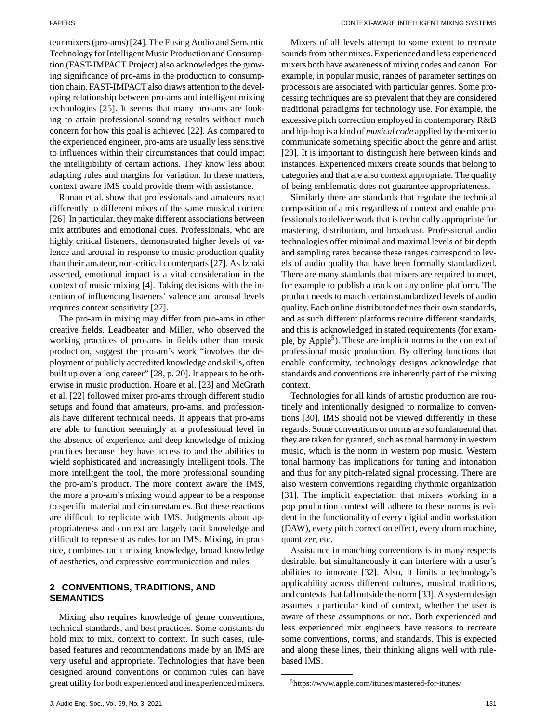teur mixers (pro-ams) [24]. The Fusing Audio and Semantic Technology for Intelligent Music Production and Consumption (FAST-IMPACT Project) also acknowledges the growing significance of pro-ams in the production to consumption chain. FAST-IMPACT also draws attention to the developing relationship between pro-ams and intelligent mixing technologies [25]. It seems that many pro-ams are looking to attain professional-sounding results without much concern for how this goal is achieved [22]. As compared to the experienced engineer, pro-ams are usually less sensitive to influences within their circumstances that could impact the intelligibility of certain actions. They know less about adapting rules and margins for variation. In these matters, context-aware IMS could provide them with assistance.

Ronan et al. show that professionals and amateurs react differently to different mixes of the same musical content [26]. In particular, they make different associations between mix attributes and emotional cues. Professionals, who are highly critical listeners, demonstrated higher levels of valence and arousal in response to music production quality than their amateur, non-critical counterparts [27]. As Izhaki asserted, emotional impact is a vital consideration in the context of music mixing [4]. Taking decisions with the intention of influencing listeners' valence and arousal levels requires context sensitivity [27].

The pro-am in mixing may differ from pro-ams in other creative fields. Leadbeater and Miller, who observed the working practices of pro-ams in fields other than music production, suggest the pro-am's work "involves the deployment of publicly accredited knowledge and skills, often built up over a long career" [28, p. 20]. It appears to be otherwise in music production. Hoare et al. [23] and McGrath et al. [22] followed mixer pro-ams through different studio setups and found that amateurs, pro-ams, and professionals have different technical needs. It appears that pro-ams are able to function seemingly at a professional level in the absence of experience and deep knowledge of mixing practices because they have access to and the abilities to wield sophisticated and increasingly intelligent tools. The more intelligent the tool, the more professional sounding the pro-am's product. The more context aware the IMS, the more a pro-am's mixing would appear to be a response to specific material and circumstances. But these reactions are difficult to replicate with IMS. Judgments about appropriateness and context are largely tacit knowledge and difficult to represent as rules for an IMS. Mixing, in practice, combines tacit mixing knowledge, broad knowledge of aesthetics, and expressive communication and rules.

# **2 CONVENTIONS, TRADITIONS, AND SEMANTICS**

Mixing also requires knowledge of genre conventions, technical standards, and best practices. Some constants do hold mix to mix, context to context. In such cases, rulebased features and recommendations made by an IMS are very useful and appropriate. Technologies that have been designed around conventions or common rules can have great utility for both experienced and inexperienced mixers.

Mixers of all levels attempt to some extent to recreate sounds from other mixes. Experienced and less experienced mixers both have awareness of mixing codes and canon. For example, in popular music, ranges of parameter settings on processors are associated with particular genres. Some processing techniques are so prevalent that they are considered traditional paradigms for technology use. For example, the excessive pitch correction employed in contemporary R&B and hip-hop is a kind of *musical code* applied by the mixer to communicate something specific about the genre and artist [29]. It is important to distinguish here between kinds and instances. Experienced mixers create sounds that belong to categories and that are also context appropriate. The quality of being emblematic does not guarantee appropriateness.

Similarly there are standards that regulate the technical composition of a mix regardless of context and enable professionals to deliver work that is technically appropriate for mastering, distribution, and broadcast. Professional audio technologies offer minimal and maximal levels of bit depth and sampling rates because these ranges correspond to levels of audio quality that have been formally standardized. There are many standards that mixers are required to meet, for example to publish a track on any online platform. The product needs to match certain standardized levels of audio quality. Each online distributor defines their own standards, and as such different platforms require different standards, and this is acknowledged in stated requirements (for example, by Apple<sup>5</sup>). These are implicit norms in the context of professional music production. By offering functions that enable conformity, technology designs acknowledge that standards and conventions are inherently part of the mixing context.

Technologies for all kinds of artistic production are routinely and intentionally designed to normalize to conventions [30]. IMS should not be viewed differently in these regards. Some conventions or norms are so fundamental that they are taken for granted, such as tonal harmony in western music, which is the norm in western pop music. Western tonal harmony has implications for tuning and intonation and thus for any pitch-related signal processing. There are also western conventions regarding rhythmic organization [31]. The implicit expectation that mixers working in a pop production context will adhere to these norms is evident in the functionality of every digital audio workstation (DAW), every pitch correction effect, every drum machine, quantizer, etc.

Assistance in matching conventions is in many respects desirable, but simultaneously it can interfere with a user's abilities to innovate [32]. Also, it limits a technology's applicability across different cultures, musical traditions, and contexts that fall outside the norm [33]. A system design assumes a particular kind of context, whether the user is aware of these assumptions or not. Both experienced and less experienced mix engineers have reasons to recreate some conventions, norms, and standards. This is expected and along these lines, their thinking aligns well with rulebased IMS.

[<sup>5</sup>https://www.apple.com/itunes/mastered-for-itunes/](https://www.apple.com/itunes/mastered-for-itunes/)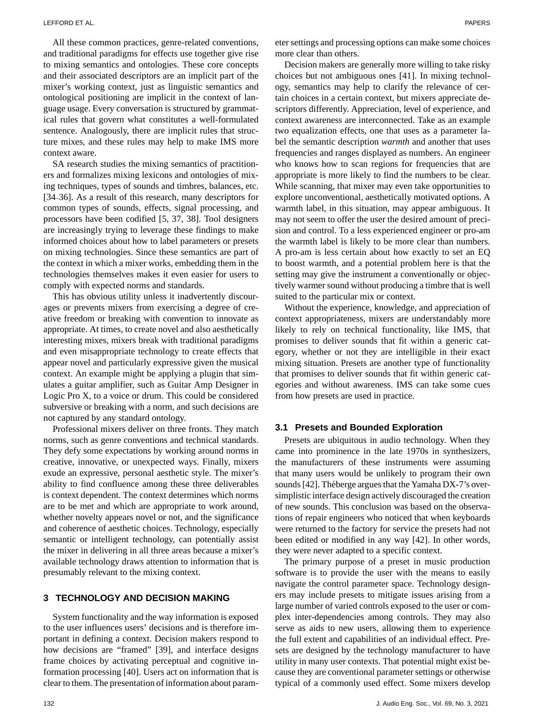All these common practices, genre-related conventions, and traditional paradigms for effects use together give rise to mixing semantics and ontologies. These core concepts and their associated descriptors are an implicit part of the mixer's working context, just as linguistic semantics and ontological positioning are implicit in the context of language usage. Every conversation is structured by grammatical rules that govern what constitutes a well-formulated sentence. Analogously, there are implicit rules that structure mixes, and these rules may help to make IMS more context aware.

SA research studies the mixing semantics of practitioners and formalizes mixing lexicons and ontologies of mixing techniques, types of sounds and timbres, balances, etc. [34–36]. As a result of this research, many descriptors for common types of sounds, effects, signal processing, and processors have been codified [5, 37, 38]. Tool designers are increasingly trying to leverage these findings to make informed choices about how to label parameters or presets on mixing technologies. Since these semantics are part of the context in which a mixer works, embedding them in the technologies themselves makes it even easier for users to comply with expected norms and standards.

This has obvious utility unless it inadvertently discourages or prevents mixers from exercising a degree of creative freedom or breaking with convention to innovate as appropriate. At times, to create novel and also aesthetically interesting mixes, mixers break with traditional paradigms and even misappropriate technology to create effects that appear novel and particularly expressive given the musical context. An example might be applying a plugin that simulates a guitar amplifier, such as Guitar Amp Designer in Logic Pro X, to a voice or drum. This could be considered subversive or breaking with a norm, and such decisions are not captured by any standard ontology.

Professional mixers deliver on three fronts. They match norms, such as genre conventions and technical standards. They defy some expectations by working around norms in creative, innovative, or unexpected ways. Finally, mixers exude an expressive, personal aesthetic style. The mixer's ability to find confluence among these three deliverables is context dependent. The context determines which norms are to be met and which are appropriate to work around, whether novelty appears novel or not, and the significance and coherence of aesthetic choices. Technology, especially semantic or intelligent technology, can potentially assist the mixer in delivering in all three areas because a mixer's available technology draws attention to information that is presumably relevant to the mixing context.

### **3 TECHNOLOGY AND DECISION MAKING**

System functionality and the way information is exposed to the user influences users' decisions and is therefore important in defining a context. Decision makers respond to how decisions are "framed" [39], and interface designs frame choices by activating perceptual and cognitive information processing [40]. Users act on information that is clear to them. The presentation of information about parameter settings and processing options can make some choices more clear than others.

Decision makers are generally more willing to take risky choices but not ambiguous ones [41]. In mixing technology, semantics may help to clarify the relevance of certain choices in a certain context, but mixers appreciate descriptors differently. Appreciation, level of experience, and context awareness are interconnected. Take as an example two equalization effects, one that uses as a parameter label the semantic description *warmth* and another that uses frequencies and ranges displayed as numbers. An engineer who knows how to scan regions for frequencies that are appropriate is more likely to find the numbers to be clear. While scanning, that mixer may even take opportunities to explore unconventional, aesthetically motivated options. A warmth label, in this situation, may appear ambiguous. It may not seem to offer the user the desired amount of precision and control. To a less experienced engineer or pro-am the warmth label is likely to be more clear than numbers. A pro-am is less certain about how exactly to set an EQ to boost warmth, and a potential problem here is that the setting may give the instrument a conventionally or objectively warmer sound without producing a timbre that is well suited to the particular mix or context.

Without the experience, knowledge, and appreciation of context appropriateness, mixers are understandably more likely to rely on technical functionality, like IMS, that promises to deliver sounds that fit within a generic category, whether or not they are intelligible in their exact mixing situation. Presets are another type of functionality that promises to deliver sounds that fit within generic categories and without awareness. IMS can take some cues from how presets are used in practice.

#### **3.1 Presets and Bounded Exploration**

Presets are ubiquitous in audio technology. When they came into prominence in the late 1970s in synthesizers, the manufacturers of these instruments were assuming that many users would be unlikely to program their own sounds [42]. Théberge argues that the Yamaha DX-7's oversimplistic interface design actively discouraged the creation of new sounds. This conclusion was based on the observations of repair engineers who noticed that when keyboards were returned to the factory for service the presets had not been edited or modified in any way [42]. In other words, they were never adapted to a specific context.

The primary purpose of a preset in music production software is to provide the user with the means to easily navigate the control parameter space. Technology designers may include presets to mitigate issues arising from a large number of varied controls exposed to the user or complex inter-dependencies among controls. They may also serve as aids to new users, allowing them to experience the full extent and capabilities of an individual effect. Presets are designed by the technology manufacturer to have utility in many user contexts. That potential might exist because they are conventional parameter settings or otherwise typical of a commonly used effect. Some mixers develop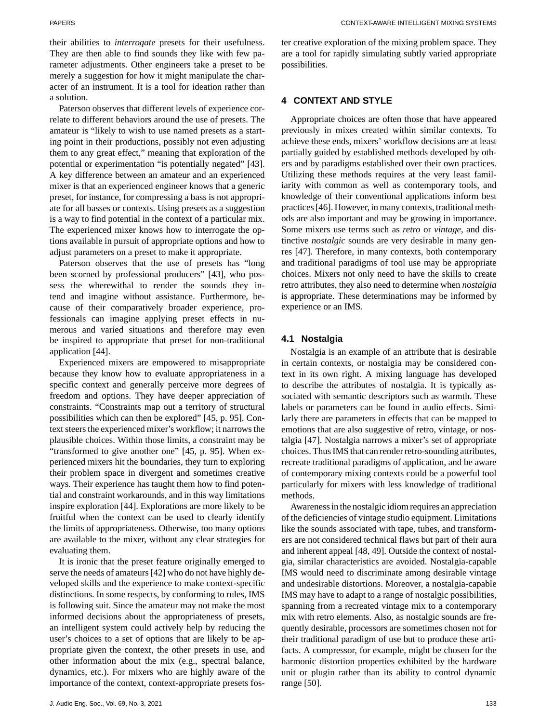their abilities to *interrogate* presets for their usefulness. They are then able to find sounds they like with few parameter adjustments. Other engineers take a preset to be merely a suggestion for how it might manipulate the character of an instrument. It is a tool for ideation rather than a solution.

Paterson observes that different levels of experience correlate to different behaviors around the use of presets. The amateur is "likely to wish to use named presets as a starting point in their productions, possibly not even adjusting them to any great effect," meaning that exploration of the potential or experimentation "is potentially negated" [43]. A key difference between an amateur and an experienced mixer is that an experienced engineer knows that a generic preset, for instance, for compressing a bass is not appropriate for all basses or contexts. Using presets as a suggestion is a way to find potential in the context of a particular mix. The experienced mixer knows how to interrogate the options available in pursuit of appropriate options and how to adjust parameters on a preset to make it appropriate.

Paterson observes that the use of presets has "long been scorned by professional producers" [43], who possess the wherewithal to render the sounds they intend and imagine without assistance. Furthermore, because of their comparatively broader experience, professionals can imagine applying preset effects in numerous and varied situations and therefore may even be inspired to appropriate that preset for non-traditional application [44].

Experienced mixers are empowered to misappropriate because they know how to evaluate appropriateness in a specific context and generally perceive more degrees of freedom and options. They have deeper appreciation of constraints. "Constraints map out a territory of structural possibilities which can then be explored" [45, p. 95]. Context steers the experienced mixer's workflow; it narrows the plausible choices. Within those limits, a constraint may be "transformed to give another one" [45, p. 95]. When experienced mixers hit the boundaries, they turn to exploring their problem space in divergent and sometimes creative ways. Their experience has taught them how to find potential and constraint workarounds, and in this way limitations inspire exploration [44]. Explorations are more likely to be fruitful when the context can be used to clearly identify the limits of appropriateness. Otherwise, too many options are available to the mixer, without any clear strategies for evaluating them.

It is ironic that the preset feature originally emerged to serve the needs of amateurs [42] who do not have highly developed skills and the experience to make context-specific distinctions. In some respects, by conforming to rules, IMS is following suit. Since the amateur may not make the most informed decisions about the appropriateness of presets, an intelligent system could actively help by reducing the user's choices to a set of options that are likely to be appropriate given the context, the other presets in use, and other information about the mix (e.g., spectral balance, dynamics, etc.). For mixers who are highly aware of the importance of the context, context-appropriate presets foster creative exploration of the mixing problem space. They are a tool for rapidly simulating subtly varied appropriate possibilities.

#### **4 CONTEXT AND STYLE**

Appropriate choices are often those that have appeared previously in mixes created within similar contexts. To achieve these ends, mixers' workflow decisions are at least partially guided by established methods developed by others and by paradigms established over their own practices. Utilizing these methods requires at the very least familiarity with common as well as contemporary tools, and knowledge of their conventional applications inform best practices [46]. However, in many contexts, traditional methods are also important and may be growing in importance. Some mixers use terms such as *retro* or *vintage*, and distinctive *nostalgic* sounds are very desirable in many genres [47]. Therefore, in many contexts, both contemporary and traditional paradigms of tool use may be appropriate choices. Mixers not only need to have the skills to create retro attributes, they also need to determine when *nostalgia* is appropriate. These determinations may be informed by experience or an IMS.

#### **4.1 Nostalgia**

Nostalgia is an example of an attribute that is desirable in certain contexts, or nostalgia may be considered context in its own right. A mixing language has developed to describe the attributes of nostalgia. It is typically associated with semantic descriptors such as warmth. These labels or parameters can be found in audio effects. Similarly there are parameters in effects that can be mapped to emotions that are also suggestive of retro, vintage, or nostalgia [47]. Nostalgia narrows a mixer's set of appropriate choices. Thus IMS that can render retro-sounding attributes, recreate traditional paradigms of application, and be aware of contemporary mixing contexts could be a powerful tool particularly for mixers with less knowledge of traditional methods.

Awareness in the nostalgic idiom requires an appreciation of the deficiencies of vintage studio equipment. Limitations like the sounds associated with tape, tubes, and transformers are not considered technical flaws but part of their aura and inherent appeal [48, 49]. Outside the context of nostalgia, similar characteristics are avoided. Nostalgia-capable IMS would need to discriminate among desirable vintage and undesirable distortions. Moreover, a nostalgia-capable IMS may have to adapt to a range of nostalgic possibilities, spanning from a recreated vintage mix to a contemporary mix with retro elements. Also, as nostalgic sounds are frequently desirable, processors are sometimes chosen not for their traditional paradigm of use but to produce these artifacts. A compressor, for example, might be chosen for the harmonic distortion properties exhibited by the hardware unit or plugin rather than its ability to control dynamic range [50].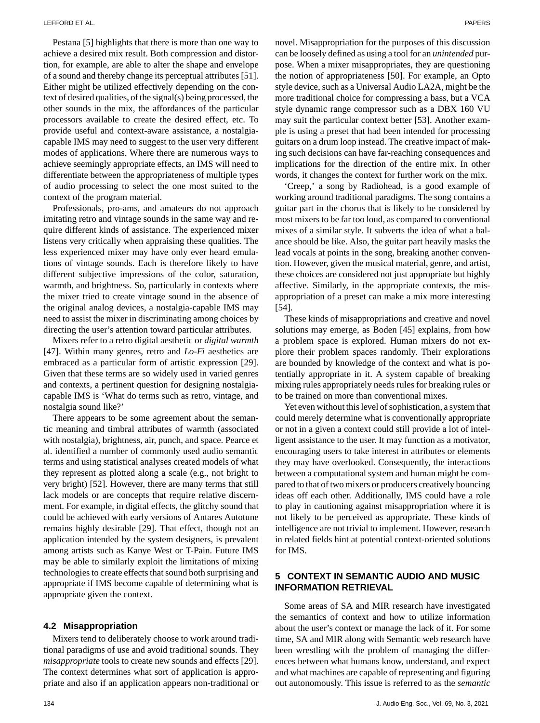Pestana [5] highlights that there is more than one way to achieve a desired mix result. Both compression and distortion, for example, are able to alter the shape and envelope of a sound and thereby change its perceptual attributes [51]. Either might be utilized effectively depending on the context of desired qualities, of the signal(s) being processed, the other sounds in the mix, the affordances of the particular processors available to create the desired effect, etc. To provide useful and context-aware assistance, a nostalgiacapable IMS may need to suggest to the user very different modes of applications. Where there are numerous ways to achieve seemingly appropriate effects, an IMS will need to differentiate between the appropriateness of multiple types of audio processing to select the one most suited to the context of the program material.

Professionals, pro-ams, and amateurs do not approach imitating retro and vintage sounds in the same way and require different kinds of assistance. The experienced mixer listens very critically when appraising these qualities. The less experienced mixer may have only ever heard emulations of vintage sounds. Each is therefore likely to have different subjective impressions of the color, saturation, warmth, and brightness. So, particularly in contexts where the mixer tried to create vintage sound in the absence of the original analog devices, a nostalgia-capable IMS may need to assist the mixer in discriminating among choices by directing the user's attention toward particular attributes.

Mixers refer to a retro digital aesthetic or *digital warmth* [47]. Within many genres, retro and *Lo-Fi* aesthetics are embraced as a particular form of artistic expression [29]. Given that these terms are so widely used in varied genres and contexts, a pertinent question for designing nostalgiacapable IMS is 'What do terms such as retro, vintage, and nostalgia sound like?'

There appears to be some agreement about the semantic meaning and timbral attributes of warmth (associated with nostalgia), brightness, air, punch, and space. Pearce et al. identified a number of commonly used audio semantic terms and using statistical analyses created models of what they represent as plotted along a scale (e.g., not bright to very bright) [52]. However, there are many terms that still lack models or are concepts that require relative discernment. For example, in digital effects, the glitchy sound that could be achieved with early versions of Antares Autotune remains highly desirable [29]. That effect, though not an application intended by the system designers, is prevalent among artists such as Kanye West or T-Pain. Future IMS may be able to similarly exploit the limitations of mixing technologies to create effects that sound both surprising and appropriate if IMS become capable of determining what is appropriate given the context.

#### **4.2 Misappropriation**

Mixers tend to deliberately choose to work around traditional paradigms of use and avoid traditional sounds. They *misappropriate* tools to create new sounds and effects [29]. The context determines what sort of application is appropriate and also if an application appears non-traditional or novel. Misappropriation for the purposes of this discussion can be loosely defined as using a tool for an *unintended* purpose. When a mixer misappropriates, they are questioning the notion of appropriateness [50]. For example, an Opto style device, such as a Universal Audio LA2A, might be the more traditional choice for compressing a bass, but a VCA style dynamic range compressor such as a DBX 160 VU may suit the particular context better [53]. Another example is using a preset that had been intended for processing guitars on a drum loop instead. The creative impact of making such decisions can have far-reaching consequences and implications for the direction of the entire mix. In other words, it changes the context for further work on the mix.

'Creep,' a song by Radiohead, is a good example of working around traditional paradigms. The song contains a guitar part in the chorus that is likely to be considered by most mixers to be far too loud, as compared to conventional mixes of a similar style. It subverts the idea of what a balance should be like. Also, the guitar part heavily masks the lead vocals at points in the song, breaking another convention. However, given the musical material, genre, and artist, these choices are considered not just appropriate but highly affective. Similarly, in the appropriate contexts, the misappropriation of a preset can make a mix more interesting [54].

These kinds of misappropriations and creative and novel solutions may emerge, as Boden [45] explains, from how a problem space is explored. Human mixers do not explore their problem spaces randomly. Their explorations are bounded by knowledge of the context and what is potentially appropriate in it. A system capable of breaking mixing rules appropriately needs rules for breaking rules or to be trained on more than conventional mixes.

Yet even without this level of sophistication, a system that could merely determine what is conventionally appropriate or not in a given a context could still provide a lot of intelligent assistance to the user. It may function as a motivator, encouraging users to take interest in attributes or elements they may have overlooked. Consequently, the interactions between a computational system and human might be compared to that of two mixers or producers creatively bouncing ideas off each other. Additionally, IMS could have a role to play in cautioning against misappropriation where it is not likely to be perceived as appropriate. These kinds of intelligence are not trivial to implement. However, research in related fields hint at potential context-oriented solutions for IMS.

# **5 CONTEXT IN SEMANTIC AUDIO AND MUSIC INFORMATION RETRIEVAL**

Some areas of SA and MIR research have investigated the semantics of context and how to utilize information about the user's context or manage the lack of it. For some time, SA and MIR along with Semantic web research have been wrestling with the problem of managing the differences between what humans know, understand, and expect and what machines are capable of representing and figuring out autonomously. This issue is referred to as the *semantic*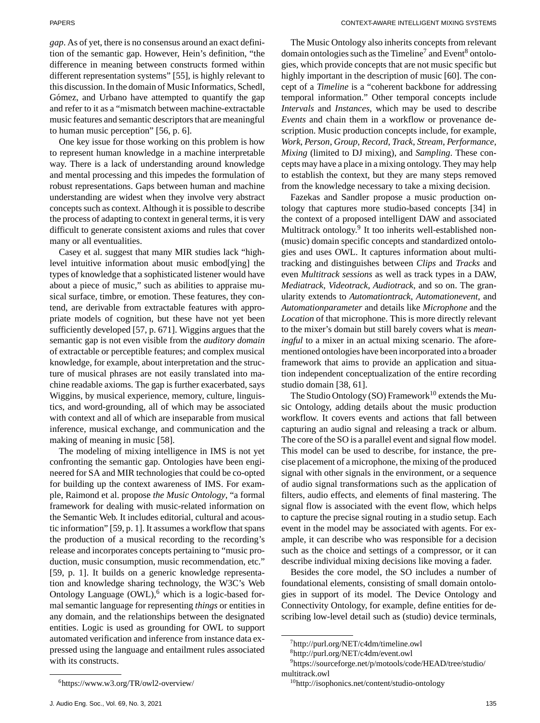*gap*. As of yet, there is no consensus around an exact definition of the semantic gap. However, Hein's definition, "the difference in meaning between constructs formed within different representation systems" [55], is highly relevant to this discussion. In the domain of Music Informatics, Schedl, Gómez, and Urbano have attempted to quantify the gap and refer to it as a "mismatch between machine-extractable music features and semantic descriptors that are meaningful to human music perception" [56, p. 6].

One key issue for those working on this problem is how to represent human knowledge in a machine interpretable way. There is a lack of understanding around knowledge and mental processing and this impedes the formulation of robust representations. Gaps between human and machine understanding are widest when they involve very abstract concepts such as context. Although it is possible to describe the process of adapting to context in general terms, it is very difficult to generate consistent axioms and rules that cover many or all eventualities.

Casey et al. suggest that many MIR studies lack "highlevel intuitive information about music embod[ying] the types of knowledge that a sophisticated listener would have about a piece of music," such as abilities to appraise musical surface, timbre, or emotion. These features, they contend, are derivable from extractable features with appropriate models of cognition, but these have not yet been sufficiently developed [57, p. 671]. Wiggins argues that the semantic gap is not even visible from the *auditory domain* of extractable or perceptible features; and complex musical knowledge, for example, about interpretation and the structure of musical phrases are not easily translated into machine readable axioms. The gap is further exacerbated, says Wiggins, by musical experience, memory, culture, linguistics, and word-grounding, all of which may be associated with context and all of which are inseparable from musical inference, musical exchange, and communication and the making of meaning in music [58].

The modeling of mixing intelligence in IMS is not yet confronting the semantic gap. Ontologies have been engineered for SA and MIR technologies that could be co-opted for building up the context awareness of IMS. For example, Raimond et al. propose *the Music Ontology*, "a formal framework for dealing with music-related information on the Semantic Web. It includes editorial, cultural and acoustic information" [59, p. 1]. It assumes a workflow that spans the production of a musical recording to the recording's release and incorporates concepts pertaining to "music production, music consumption, music recommendation, etc." [59, p. 1]. It builds on a generic knowledge representation and knowledge sharing technology, the W3C's Web Ontology Language  $(OWL)$ , which is a logic-based formal semantic language for representing *things* or entities in any domain, and the relationships between the designated entities. Logic is used as grounding for OWL to support automated verification and inference from instance data expressed using the language and entailment rules associated with its constructs.

The Music Ontology also inherits concepts from relevant domain ontologies such as the Timeline<sup>7</sup> and Event<sup>8</sup> ontologies, which provide concepts that are not music specific but highly important in the description of music [60]. The concept of a *Timeline* is a "coherent backbone for addressing temporal information." Other temporal concepts include *Intervals* and *Instances*, which may be used to describe *Events* and chain them in a workflow or provenance description. Music production concepts include, for example, *Work*, *Person*, *Group*, *Record*, *Track*, *Stream*, *Performance*, *Mixing* (limited to DJ mixing), and *Sampling*. These concepts may have a place in a mixing ontology. They may help to establish the context, but they are many steps removed from the knowledge necessary to take a mixing decision.

Fazekas and Sandler propose a music production ontology that captures more studio-based concepts [34] in the context of a proposed intelligent DAW and associated Multitrack ontology.<sup>9</sup> It too inherits well-established non-(music) domain specific concepts and standardized ontologies and uses OWL. It captures information about multitracking and distinguishes between *Clips* and *Tracks* and even *Multitrack sessions* as well as track types in a DAW, *Mediatrack*, *Videotrack*, *Audiotrack*, and so on. The granularity extends to *Automationtrack*, *Automationevent*, and *Automationparameter* and details like *Microphone* and the *Location* of that microphone. This is more directly relevant to the mixer's domain but still barely covers what is *meaningful* to a mixer in an actual mixing scenario. The aforementioned ontologies have been incorporated into a broader framework that aims to provide an application and situation independent conceptualization of the entire recording studio domain [38, 61].

The Studio Ontology (SO) Framework<sup>10</sup> extends the Music Ontology, adding details about the music production workflow. It covers events and actions that fall between capturing an audio signal and releasing a track or album. The core of the SO is a parallel event and signal flow model. This model can be used to describe, for instance, the precise placement of a microphone, the mixing of the produced signal with other signals in the environment, or a sequence of audio signal transformations such as the application of filters, audio effects, and elements of final mastering. The signal flow is associated with the event flow, which helps to capture the precise signal routing in a studio setup. Each event in the model may be associated with agents. For example, it can describe who was responsible for a decision such as the choice and settings of a compressor, or it can describe individual mixing decisions like moving a fader.

Besides the core model, the SO includes a number of foundational elements, consisting of small domain ontologies in support of its model. The Device Ontology and Connectivity Ontology, for example, define entities for describing low-level detail such as (studio) device terminals,

[7http://purl.org/NET/c4dm/timeline.owl](http://purl.org/NET/c4dm/timeline.owl)

[<sup>6</sup>https://www.w3.org/TR/owl2-overview/](https://www.w3.org/TR/owl2-overview/)

[<sup>8</sup>http://purl.org/NET/c4dm/event.owl](http://purl.org/NET/c4dm/event.owl)

[<sup>9</sup>https://sourceforge.net/p/motools/code/HEAD/tree/studio/](https://sourceforge.net/p/motools/code/HEAD/tree/studio/multitrack.owl) [multitrack.owl](https://sourceforge.net/p/motools/code/HEAD/tree/studio/multitrack.owl)

<sup>1</sup>[0http://isophonics.net/content/studio-ontology](http://isophonics.net/content/studio-ontology)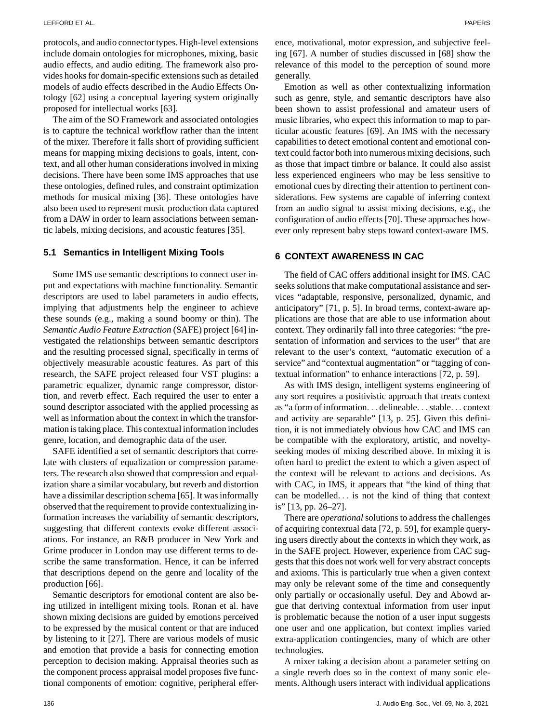protocols, and audio connector types. High-level extensions include domain ontologies for microphones, mixing, basic audio effects, and audio editing. The framework also provides hooks for domain-specific extensions such as detailed models of audio effects described in the Audio Effects Ontology [62] using a conceptual layering system originally proposed for intellectual works [63].

The aim of the SO Framework and associated ontologies is to capture the technical workflow rather than the intent of the mixer. Therefore it falls short of providing sufficient means for mapping mixing decisions to goals, intent, context, and all other human considerations involved in mixing decisions. There have been some IMS approaches that use these ontologies, defined rules, and constraint optimization methods for musical mixing [36]. These ontologies have also been used to represent music production data captured from a DAW in order to learn associations between semantic labels, mixing decisions, and acoustic features [35].

#### **5.1 Semantics in Intelligent Mixing Tools**

Some IMS use semantic descriptions to connect user input and expectations with machine functionality. Semantic descriptors are used to label parameters in audio effects, implying that adjustments help the engineer to achieve these sounds (e.g., making a sound boomy or thin). The *Semantic Audio Feature Extraction* (SAFE) project [64] investigated the relationships between semantic descriptors and the resulting processed signal, specifically in terms of objectively measurable acoustic features. As part of this research, the SAFE project released four VST plugins: a parametric equalizer, dynamic range compressor, distortion, and reverb effect. Each required the user to enter a sound descriptor associated with the applied processing as well as information about the context in which the transformation is taking place. This contextual information includes genre, location, and demographic data of the user.

SAFE identified a set of semantic descriptors that correlate with clusters of equalization or compression parameters. The research also showed that compression and equalization share a similar vocabulary, but reverb and distortion have a dissimilar description schema [65]. It was informally observed that the requirement to provide contextualizing information increases the variability of semantic descriptors, suggesting that different contexts evoke different associations. For instance, an R&B producer in New York and Grime producer in London may use different terms to describe the same transformation. Hence, it can be inferred that descriptions depend on the genre and locality of the production [66].

Semantic descriptors for emotional content are also being utilized in intelligent mixing tools. Ronan et al. have shown mixing decisions are guided by emotions perceived to be expressed by the musical content or that are induced by listening to it [27]. There are various models of music and emotion that provide a basis for connecting emotion perception to decision making. Appraisal theories such as the component process appraisal model proposes five functional components of emotion: cognitive, peripheral efference, motivational, motor expression, and subjective feeling [67]. A number of studies discussed in [68] show the relevance of this model to the perception of sound more generally.

Emotion as well as other contextualizing information such as genre, style, and semantic descriptors have also been shown to assist professional and amateur users of music libraries, who expect this information to map to particular acoustic features [69]. An IMS with the necessary capabilities to detect emotional content and emotional context could factor both into numerous mixing decisions, such as those that impact timbre or balance. It could also assist less experienced engineers who may be less sensitive to emotional cues by directing their attention to pertinent considerations. Few systems are capable of inferring context from an audio signal to assist mixing decisions, e.g., the configuration of audio effects [70]. These approaches however only represent baby steps toward context-aware IMS.

# **6 CONTEXT AWARENESS IN CAC**

The field of CAC offers additional insight for IMS. CAC seeks solutions that make computational assistance and services "adaptable, responsive, personalized, dynamic, and anticipatory" [71, p. 5]. In broad terms, context-aware applications are those that are able to use information about context. They ordinarily fall into three categories: "the presentation of information and services to the user" that are relevant to the user's context, "automatic execution of a service" and "contextual augmentation" or "tagging of contextual information" to enhance interactions [72, p. 59].

As with IMS design, intelligent systems engineering of any sort requires a positivistic approach that treats context as "a form of information... delineable... stable... context and activity are separable" [13, p. 25]. Given this definition, it is not immediately obvious how CAC and IMS can be compatible with the exploratory, artistic, and noveltyseeking modes of mixing described above. In mixing it is often hard to predict the extent to which a given aspect of the context will be relevant to actions and decisions. As with CAC, in IMS, it appears that "the kind of thing that can be modelled... is not the kind of thing that context is" [13, pp. 26–27].

There are *operational* solutions to address the challenges of acquiring contextual data [72, p. 59], for example querying users directly about the contexts in which they work, as in the SAFE project. However, experience from CAC suggests that this does not work well for very abstract concepts and axioms. This is particularly true when a given context may only be relevant some of the time and consequently only partially or occasionally useful. Dey and Abowd argue that deriving contextual information from user input is problematic because the notion of a user input suggests one user and one application, but context implies varied extra-application contingencies, many of which are other technologies.

A mixer taking a decision about a parameter setting on a single reverb does so in the context of many sonic elements. Although users interact with individual applications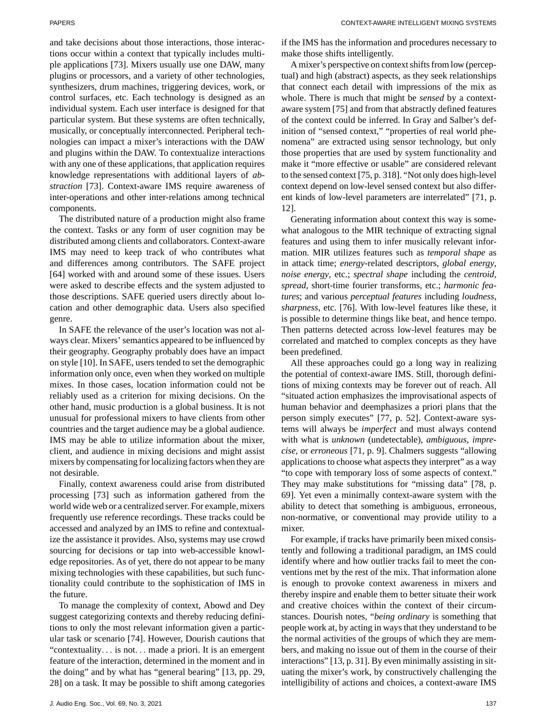and take decisions about those interactions, those interactions occur within a context that typically includes multiple applications [73]. Mixers usually use one DAW, many plugins or processors, and a variety of other technologies, synthesizers, drum machines, triggering devices, work, or control surfaces, etc. Each technology is designed as an individual system. Each user interface is designed for that particular system. But these systems are often technically, musically, or conceptually interconnected. Peripheral technologies can impact a mixer's interactions with the DAW and plugins within the DAW. To contextualize interactions with any one of these applications, that application requires knowledge representations with additional layers of *abstraction* [73]. Context-aware IMS require awareness of inter-operations and other inter-relations among technical components.

The distributed nature of a production might also frame the context. Tasks or any form of user cognition may be distributed among clients and collaborators. Context-aware IMS may need to keep track of who contributes what and differences among contributors. The SAFE project [64] worked with and around some of these issues. Users were asked to describe effects and the system adjusted to those descriptions. SAFE queried users directly about location and other demographic data. Users also specified genre.

In SAFE the relevance of the user's location was not always clear. Mixers' semantics appeared to be influenced by their geography. Geography probably does have an impact on style [10]. In SAFE, users tended to set the demographic information only once, even when they worked on multiple mixes. In those cases, location information could not be reliably used as a criterion for mixing decisions. On the other hand, music production is a global business. It is not unusual for professional mixers to have clients from other countries and the target audience may be a global audience. IMS may be able to utilize information about the mixer, client, and audience in mixing decisions and might assist mixers by compensating for localizing factors when they are not desirable.

Finally, context awareness could arise from distributed processing [73] such as information gathered from the world wide web or a centralized server. For example, mixers frequently use reference recordings. These tracks could be accessed and analyzed by an IMS to refine and contextualize the assistance it provides. Also, systems may use crowd sourcing for decisions or tap into web-accessible knowledge repositories. As of yet, there do not appear to be many mixing technologies with these capabilities, but such functionality could contribute to the sophistication of IMS in the future.

To manage the complexity of context, Abowd and Dey suggest categorizing contexts and thereby reducing definitions to only the most relevant information given a particular task or scenario [74]. However, Dourish cautions that "contextuality... is not... made a priori. It is an emergent feature of the interaction, determined in the moment and in the doing" and by what has "general bearing" [13, pp. 29, 28] on a task. It may be possible to shift among categories if the IMS has the information and procedures necessary to make those shifts intelligently.

A mixer's perspective on context shifts from low (perceptual) and high (abstract) aspects, as they seek relationships that connect each detail with impressions of the mix as whole. There is much that might be *sensed* by a contextaware system [75] and from that abstractly defined features of the context could be inferred. In Gray and Salber's definition of "sensed context," "properties of real world phenomena" are extracted using sensor technology, but only those properties that are used by system functionality and make it "more effective or usable" are considered relevant to the sensed context [75, p. 318]. "Not only does high-level context depend on low-level sensed context but also different kinds of low-level parameters are interrelated" [71, p. 12].

Generating information about context this way is somewhat analogous to the MIR technique of extracting signal features and using them to infer musically relevant information. MIR utilizes features such as *temporal shape* as in attack time; *energy*-related descriptors, *global energy*, *noise energy*, etc.; *spectral shape* including the *centroid*, *spread*, short-time fourier transforms, etc.; *harmonic features*; and various *perceptual features* including *loudness*, *sharpness*, etc. [76]. With low-level features like these, it is possible to determine things like beat, and hence tempo. Then patterns detected across low-level features may be correlated and matched to complex concepts as they have been predefined.

All these approaches could go a long way in realizing the potential of context-aware IMS. Still, thorough definitions of mixing contexts may be forever out of reach. All "situated action emphasizes the improvisational aspects of human behavior and deemphasizes a priori plans that the person simply executes" [77, p. 52]. Context-aware systems will always be *imperfect* and must always contend with what is *unknown* (undetectable), *ambiguous*, *imprecise*, or *erroneous* [71, p. 9]. Chalmers suggests "allowing applications to choose what aspects they interpret" as a way "to cope with temporary loss of some aspects of context." They may make substitutions for "missing data" [78, p. 69]. Yet even a minimally context-aware system with the ability to detect that something is ambiguous, erroneous, non-normative, or conventional may provide utility to a mixer.

For example, if tracks have primarily been mixed consistently and following a traditional paradigm, an IMS could identify where and how outlier tracks fail to meet the conventions met by the rest of the mix. That information alone is enough to provoke context awareness in mixers and thereby inspire and enable them to better situate their work and creative choices within the context of their circumstances. Dourish notes, "*being ordinary* is something that people work at, by acting in ways that they understand to be the normal activities of the groups of which they are members, and making no issue out of them in the course of their interactions" [13, p. 31]. By even minimally assisting in situating the mixer's work, by constructively challenging the intelligibility of actions and choices, a context-aware IMS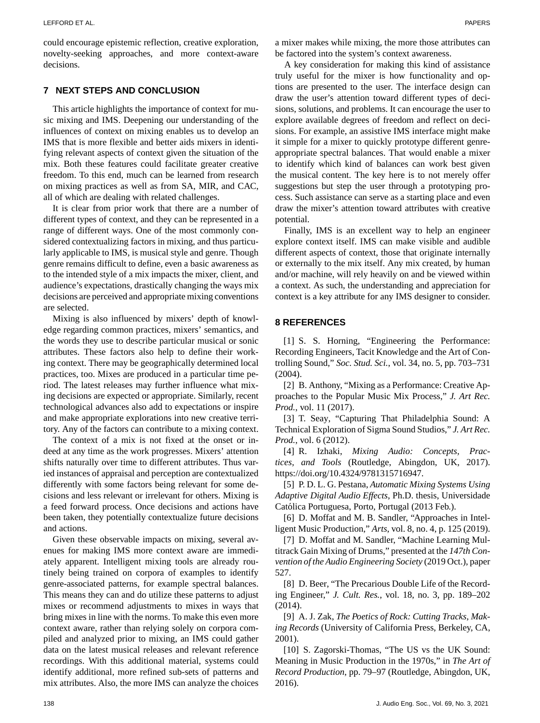could encourage epistemic reflection, creative exploration, novelty-seeking approaches, and more context-aware decisions.

# **7 NEXT STEPS AND CONCLUSION**

This article highlights the importance of context for music mixing and IMS. Deepening our understanding of the influences of context on mixing enables us to develop an IMS that is more flexible and better aids mixers in identifying relevant aspects of context given the situation of the mix. Both these features could facilitate greater creative freedom. To this end, much can be learned from research on mixing practices as well as from SA, MIR, and CAC, all of which are dealing with related challenges.

It is clear from prior work that there are a number of different types of context, and they can be represented in a range of different ways. One of the most commonly considered contextualizing factors in mixing, and thus particularly applicable to IMS, is musical style and genre. Though genre remains difficult to define, even a basic awareness as to the intended style of a mix impacts the mixer, client, and audience's expectations, drastically changing the ways mix decisions are perceived and appropriate mixing conventions are selected.

Mixing is also influenced by mixers' depth of knowledge regarding common practices, mixers' semantics, and the words they use to describe particular musical or sonic attributes. These factors also help to define their working context. There may be geographically determined local practices, too. Mixes are produced in a particular time period. The latest releases may further influence what mixing decisions are expected or appropriate. Similarly, recent technological advances also add to expectations or inspire and make appropriate explorations into new creative territory. Any of the factors can contribute to a mixing context.

The context of a mix is not fixed at the onset or indeed at any time as the work progresses. Mixers' attention shifts naturally over time to different attributes. Thus varied instances of appraisal and perception are contextualized differently with some factors being relevant for some decisions and less relevant or irrelevant for others. Mixing is a feed forward process. Once decisions and actions have been taken, they potentially contextualize future decisions and actions.

Given these observable impacts on mixing, several avenues for making IMS more context aware are immediately apparent. Intelligent mixing tools are already routinely being trained on corpora of examples to identify genre-associated patterns, for example spectral balances. This means they can and do utilize these patterns to adjust mixes or recommend adjustments to mixes in ways that bring mixes in line with the norms. To make this even more context aware, rather than relying solely on corpora compiled and analyzed prior to mixing, an IMS could gather data on the latest musical releases and relevant reference recordings. With this additional material, systems could identify additional, more refined sub-sets of patterns and mix attributes. Also, the more IMS can analyze the choices a mixer makes while mixing, the more those attributes can be factored into the system's context awareness.

A key consideration for making this kind of assistance truly useful for the mixer is how functionality and options are presented to the user. The interface design can draw the user's attention toward different types of decisions, solutions, and problems. It can encourage the user to explore available degrees of freedom and reflect on decisions. For example, an assistive IMS interface might make it simple for a mixer to quickly prototype different genreappropriate spectral balances. That would enable a mixer to identify which kind of balances can work best given the musical content. The key here is to not merely offer suggestions but step the user through a prototyping process. Such assistance can serve as a starting place and even draw the mixer's attention toward attributes with creative potential.

Finally, IMS is an excellent way to help an engineer explore context itself. IMS can make visible and audible different aspects of context, those that originate internally or externally to the mix itself. Any mix created, by human and/or machine, will rely heavily on and be viewed within a context. As such, the understanding and appreciation for context is a key attribute for any IMS designer to consider.

### **8 REFERENCES**

[1] S. S. Horning, "Engineering the Performance: Recording Engineers, Tacit Knowledge and the Art of Controlling Sound," *Soc. Stud. Sci.*, vol. 34, no. 5, pp. 703–731 (2004).

[2] B. Anthony, "Mixing as a Performance: Creative Approaches to the Popular Music Mix Process," *J. Art Rec. Prod.*, vol. 11 (2017).

[3] T. Seay, "Capturing That Philadelphia Sound: A Technical Exploration of Sigma Sound Studios," *J. Art Rec. Prod.*, vol. 6 (2012).

[4] R. Izhaki, *Mixing Audio: Concepts, Practices, and Tools* (Routledge, Abingdon, UK, 2017). [https://doi.org/10.4324/9781315716947.](https://doi.org/10.4324/9781315716947)

[5] P. D. L. G. Pestana, *Automatic Mixing Systems Using Adaptive Digital Audio Effects*, Ph.D. thesis, Universidade Católica Portuguesa, Porto, Portugal (2013 Feb.).

[6] D. Moffat and M. B. Sandler, "Approaches in Intelligent Music Production," *Arts*, vol. 8, no. 4, p. 125 (2019).

[7] D. Moffat and M. Sandler, "Machine Learning Multitrack Gain Mixing of Drums," presented at the *147th Convention of the Audio Engineering Society* (2019 Oct.), paper 527.

[8] D. Beer, "The Precarious Double Life of the Recording Engineer," *J. Cult. Res.*, vol. 18, no. 3, pp. 189–202 (2014).

[9] A. J. Zak, *The Poetics of Rock: Cutting Tracks, Making Records* (University of California Press, Berkeley, CA, 2001).

[10] S. Zagorski-Thomas, "The US vs the UK Sound: Meaning in Music Production in the 1970s," in *The Art of Record Production*, pp. 79–97 (Routledge, Abingdon, UK, 2016).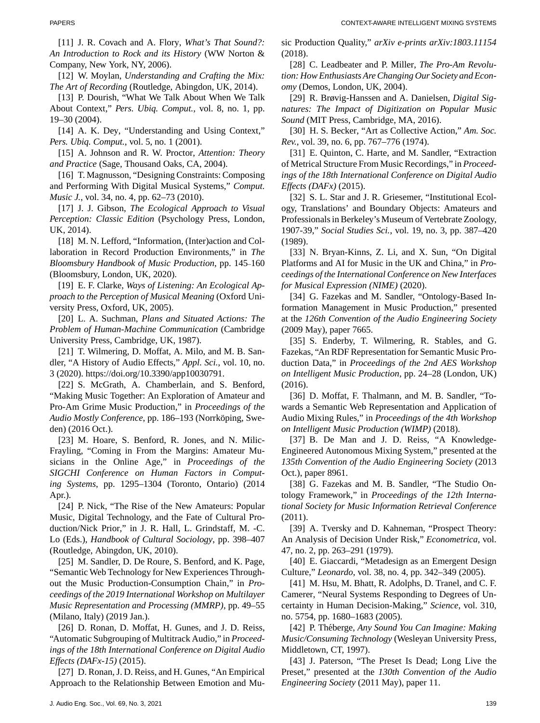[11] J. R. Covach and A. Flory, *What's That Sound?: An Introduction to Rock and its History* (WW Norton & Company, New York, NY, 2006).

[12] W. Moylan, *Understanding and Crafting the Mix: The Art of Recording* (Routledge, Abingdon, UK, 2014).

[13] P. Dourish, "What We Talk About When We Talk About Context," *Pers. Ubiq. Comput.*, vol. 8, no. 1, pp. 19–30 (2004).

[14] A. K. Dey, "Understanding and Using Context," *Pers. Ubiq. Comput.*, vol. 5, no. 1 (2001).

[15] A. Johnson and R. W. Proctor, *Attention: Theory and Practice* (Sage, Thousand Oaks, CA, 2004).

[16] T. Magnusson, "Designing Constraints: Composing and Performing With Digital Musical Systems," *Comput. Music J.*, vol. 34, no. 4, pp. 62–73 (2010).

[17] J. J. Gibson, *The Ecological Approach to Visual Perception: Classic Edition* (Psychology Press, London, UK, 2014).

[18] M. N. Lefford, "Information, (Inter)action and Collaboration in Record Production Environments," in *The Bloomsbury Handbook of Music Production*, pp. 145–160 (Bloomsbury, London, UK, 2020).

[19] E. F. Clarke, *Ways of Listening: An Ecological Approach to the Perception of Musical Meaning* (Oxford University Press, Oxford, UK, 2005).

[20] L. A. Suchman, *Plans and Situated Actions: The Problem of Human-Machine Communication* (Cambridge University Press, Cambridge, UK, 1987).

[21] T. Wilmering, D. Moffat, A. Milo, and M. B. Sandler, "A History of Audio Effects," *Appl. Sci.*, vol. 10, no. 3 (2020). [https://doi.org/10.3390/app10030791.](https://doi.org/10.3390/app10030791)

[22] S. McGrath, A. Chamberlain, and S. Benford, "Making Music Together: An Exploration of Amateur and Pro-Am Grime Music Production," in *Proceedings of the Audio Mostly Conference*, pp. 186–193 (Norrkoping, Swe- ¨ den) (2016 Oct.).

[23] M. Hoare, S. Benford, R. Jones, and N. Milic-Frayling, "Coming in From the Margins: Amateur Musicians in the Online Age," in *Proceedings of the SIGCHI Conference on Human Factors in Computing Systems*, pp. 1295–1304 (Toronto, Ontario) (2014 Apr.).

[24] P. Nick, "The Rise of the New Amateurs: Popular Music, Digital Technology, and the Fate of Cultural Production/Nick Prior," in J. R. Hall, L. Grindstaff, M. -C. Lo (Eds.), *Handbook of Cultural Sociology*, pp. 398–407 (Routledge, Abingdon, UK, 2010).

[25] M. Sandler, D. De Roure, S. Benford, and K. Page, "Semantic Web Technology for New Experiences Throughout the Music Production-Consumption Chain," in *Proceedings of the 2019 International Workshop on Multilayer Music Representation and Processing (MMRP)*, pp. 49–55 (Milano, Italy) (2019 Jan.).

[26] D. Ronan, D. Moffat, H. Gunes, and J. D. Reiss, "Automatic Subgrouping of Multitrack Audio," in *Proceedings of the 18th International Conference on Digital Audio Effects (DAFx-15)* (2015).

[27] D. Ronan, J. D. Reiss, and H. Gunes, "An Empirical Approach to the Relationship Between Emotion and Music Production Quality," *arXiv e-prints arXiv:1803.11154* (2018).

[28] C. Leadbeater and P. Miller, *The Pro-Am Revolution: How Enthusiasts Are Changing Our Society and Economy* (Demos, London, UK, 2004).

[29] R. Brøvig-Hanssen and A. Danielsen, *Digital Signatures: The Impact of Digitization on Popular Music Sound* (MIT Press, Cambridge, MA, 2016).

[30] H. S. Becker, "Art as Collective Action," *Am. Soc. Rev.*, vol. 39, no. 6, pp. 767–776 (1974).

[31] E. Quinton, C. Harte, and M. Sandler, "Extraction" of Metrical Structure From Music Recordings," in *Proceedings of the 18th International Conference on Digital Audio Effects (DAFx)* (2015).

[32] S. L. Star and J. R. Griesemer, "Institutional Ecology, Translations' and Boundary Objects: Amateurs and Professionals in Berkeley's Museum of Vertebrate Zoology, 1907-39," *Social Studies Sci.*, vol. 19, no. 3, pp. 387–420 (1989).

[33] N. Bryan-Kinns, Z. Li, and X. Sun, "On Digital Platforms and AI for Music in the UK and China," in *Proceedings of the International Conference on New Interfaces for Musical Expression (NIME)* (2020).

[34] G. Fazekas and M. Sandler, "Ontology-Based Information Management in Music Production," presented at the *126th Convention of the Audio Engineering Society* (2009 May), paper 7665.

[35] S. Enderby, T. Wilmering, R. Stables, and G. Fazekas, "An RDF Representation for Semantic Music Production Data," in *Proceedings of the 2nd AES Workshop on Intelligent Music Production*, pp. 24–28 (London, UK) (2016).

[36] D. Moffat, F. Thalmann, and M. B. Sandler, "Towards a Semantic Web Representation and Application of Audio Mixing Rules," in *Proceedings of the 4th Workshop on Intelligent Music Production (WIMP)* (2018).

[37] B. De Man and J. D. Reiss, "A Knowledge-Engineered Autonomous Mixing System," presented at the *135th Convention of the Audio Engineering Society* (2013 Oct.), paper 8961.

[38] G. Fazekas and M. B. Sandler, "The Studio Ontology Framework," in *Proceedings of the 12th International Society for Music Information Retrieval Conference* (2011).

[39] A. Tversky and D. Kahneman, "Prospect Theory: An Analysis of Decision Under Risk," *Econometrica*, vol. 47, no. 2, pp. 263–291 (1979).

[40] E. Giaccardi, "Metadesign as an Emergent Design Culture," *Leonardo*, vol. 38, no. 4, pp. 342–349 (2005).

[41] M. Hsu, M. Bhatt, R. Adolphs, D. Tranel, and C. F. Camerer, "Neural Systems Responding to Degrees of Uncertainty in Human Decision-Making," *Science*, vol. 310, no. 5754, pp. 1680–1683 (2005).

[42] P. Théberge, Any Sound You Can Imagine: Making *Music/Consuming Technology* (Wesleyan University Press, Middletown, CT, 1997).

[43] J. Paterson, "The Preset Is Dead; Long Live the Preset," presented at the *130th Convention of the Audio Engineering Society* (2011 May), paper 11.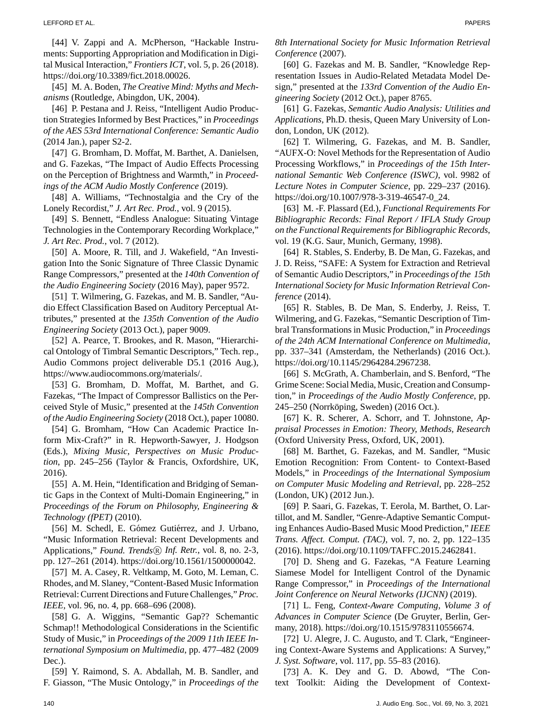[44] V. Zappi and A. McPherson, "Hackable Instruments: Supporting Appropriation and Modification in Digital Musical Interaction," *Frontiers ICT*, vol. 5, p. 26 (2018). [https://doi.org/10.3389/fict.2018.00026.](https://doi.org/10.3389/fict.2018.00026)

[45] M. A. Boden, *The Creative Mind: Myths and Mechanisms* (Routledge, Abingdon, UK, 2004).

[46] P. Pestana and J. Reiss, "Intelligent Audio Production Strategies Informed by Best Practices," in *Proceedings of the AES 53rd International Conference: Semantic Audio* (2014 Jan.), paper S2-2.

[47] G. Bromham, D. Moffat, M. Barthet, A. Danielsen, and G. Fazekas, "The Impact of Audio Effects Processing on the Perception of Brightness and Warmth," in *Proceedings of the ACM Audio Mostly Conference* (2019).

[48] A. Williams, "Technostalgia and the Cry of the Lonely Recordist," *J. Art Rec. Prod.*, vol. 9 (2015).

[49] S. Bennett, "Endless Analogue: Situating Vintage Technologies in the Contemporary Recording Workplace," *J. Art Rec. Prod.*, vol. 7 (2012).

[50] A. Moore, R. Till, and J. Wakefield, "An Investigation Into the Sonic Signature of Three Classic Dynamic Range Compressors," presented at the *140th Convention of the Audio Engineering Society* (2016 May), paper 9572.

[51] T. Wilmering, G. Fazekas, and M. B. Sandler, "Audio Effect Classification Based on Auditory Perceptual Attributes," presented at the *135th Convention of the Audio Engineering Society* (2013 Oct.), paper 9009.

[52] A. Pearce, T. Brookes, and R. Mason, "Hierarchical Ontology of Timbral Semantic Descriptors," Tech. rep., Audio Commons project deliverable D5.1 (2016 Aug.), [https://www.audiocommons.org/materials/.](https://www.audiocommons.org/materials/)

[53] G. Bromham, D. Moffat, M. Barthet, and G. Fazekas, "The Impact of Compressor Ballistics on the Perceived Style of Music," presented at the *145th Convention of the Audio Engineering Society* (2018 Oct.), paper 10080.

[54] G. Bromham, "How Can Academic Practice Inform Mix-Craft?" in R. Hepworth-Sawyer, J. Hodgson (Eds.), *Mixing Music*, *Perspectives on Music Production*, pp. 245–256 (Taylor & Francis, Oxfordshire, UK, 2016).

[55] A. M. Hein, "Identification and Bridging of Semantic Gaps in the Context of Multi-Domain Engineering," in *Proceedings of the Forum on Philosophy, Engineering & Technology (fPET)* (2010).

[56] M. Schedl, E. Gómez Gutiérrez, and J. Urbano, "Music Information Retrieval: Recent Developments and Applications," *Found. Trends* ® *Inf. Retr.*, vol. 8, no. 2-3, pp. 127–261 (2014). [https://doi.org/10.1561/1500000042.](https://doi.org/10.1561/1500000042)

[57] M. A. Casey, R. Veltkamp, M. Goto, M. Leman, C. Rhodes, and M. Slaney, "Content-Based Music Information Retrieval: Current Directions and Future Challenges," *Proc. IEEE*, vol. 96, no. 4, pp. 668–696 (2008).

[58] G. A. Wiggins, "Semantic Gap?? Schemantic Schmap!! Methodological Considerations in the Scientific Study of Music," in *Proceedings of the 2009 11th IEEE International Symposium on Multimedia*, pp. 477–482 (2009 Dec.).

[59] Y. Raimond, S. A. Abdallah, M. B. Sandler, and F. Giasson, "The Music Ontology," in *Proceedings of the*

*8th International Society for Music Information Retrieval Conference* (2007).

[60] G. Fazekas and M. B. Sandler, "Knowledge Representation Issues in Audio-Related Metadata Model Design," presented at the *133rd Convention of the Audio Engineering Society* (2012 Oct.), paper 8765.

[61] G. Fazekas, *Semantic Audio Analysis: Utilities and Applications*, Ph.D. thesis, Queen Mary University of London, London, UK (2012).

[62] T. Wilmering, G. Fazekas, and M. B. Sandler, "AUFX-O: Novel Methods for the Representation of Audio Processing Workflows," in *Proceedings of the 15th International Semantic Web Conference (ISWC)*, vol. 9982 of *Lecture Notes in Computer Science*, pp. 229–237 (2016). [https://doi.org/10.1007/978-3-319-46547-0\\_24.](https://doi.org/10.1007/978-3-319-46547-0egingroup count@ "005F
elax 
elax uccode `~count@ uppercase {gdef {${sim }{}$}}endgroup setbox 0hbox {}dimen z@ ht z@ 24)

[63] M. -F. Plassard (Ed.), *Functional Requirements For Bibliographic Records: Final Report / IFLA Study Group on the Functional Requirements for Bibliographic Records*, vol. 19 (K.G. Saur, Munich, Germany, 1998).

[64] R. Stables, S. Enderby, B. De Man, G. Fazekas, and J. D. Reiss, "SAFE: A System for Extraction and Retrieval of Semantic Audio Descriptors," in *Proceedings of the 15th International Society for Music Information Retrieval Conference* (2014).

[65] R. Stables, B. De Man, S. Enderby, J. Reiss, T. Wilmering, and G. Fazekas, "Semantic Description of Timbral Transformations in Music Production," in *Proceedings of the 24th ACM International Conference on Multimedia*, pp. 337–341 (Amsterdam, the Netherlands) (2016 Oct.). [https://doi.org/10.1145/2964284.2967238.](https://doi.org/10.1145/2964284.2967238)

[66] S. McGrath, A. Chamberlain, and S. Benford, "The Grime Scene: Social Media, Music, Creation and Consumption," in *Proceedings of the Audio Mostly Conference*, pp. 245–250 (Norrköping, Sweden) (2016 Oct.).

[67] K. R. Scherer, A. Schorr, and T. Johnstone, *Appraisal Processes in Emotion: Theory, Methods, Research* (Oxford University Press, Oxford, UK, 2001).

[68] M. Barthet, G. Fazekas, and M. Sandler, "Music Emotion Recognition: From Content- to Context-Based Models," in *Proceedings of the International Symposium on Computer Music Modeling and Retrieval*, pp. 228–252 (London, UK) (2012 Jun.).

[69] P. Saari, G. Fazekas, T. Eerola, M. Barthet, O. Lartillot, and M. Sandler, "Genre-Adaptive Semantic Computing Enhances Audio-Based Music Mood Prediction," *IEEE Trans. Affect. Comput. (TAC)*, vol. 7, no. 2, pp. 122–135 (2016). [https://doi.org/10.1109/TAFFC.2015.2462841.](https://doi.org/10.1109/TAFFC.2015.2462841)

[70] D. Sheng and G. Fazekas, "A Feature Learning Siamese Model for Intelligent Control of the Dynamic Range Compressor," in *Proceedings of the International Joint Conference on Neural Networks (IJCNN)* (2019).

[71] L. Feng, *Context-Aware Computing*, *Volume 3 of Advances in Computer Science* (De Gruyter, Berlin, Germany, 2018). [https://doi.org/10.1515/9783110556674.](https://doi.org/10.1515/9783110556674)

[72] U. Alegre, J. C. Augusto, and T. Clark, "Engineering Context-Aware Systems and Applications: A Survey," *J. Syst. Software*, vol. 117, pp. 55–83 (2016).

[73] A. K. Dey and G. D. Abowd, "The Context Toolkit: Aiding the Development of Context